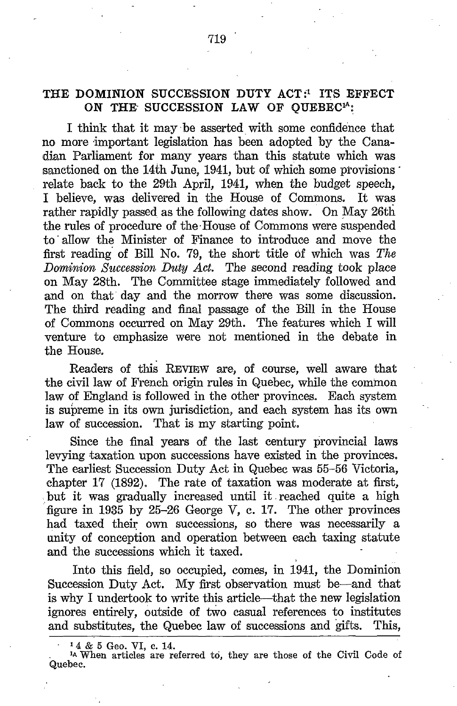# THE DOMINION SUCCESSION DUTY ACT:<sup>1</sup> ITS EFFECT ON THE SUCCESSION LAW OF OUEBEC<sup>14</sup>:

<sup>I</sup> think that it may be asserted with some confidence that no more important legislation has been adopted by the Canadian Parliament for many years than this statute which was sanctioned on the 14th June, 1941, but of which some provisions relate back to the 29th April, 1941, when the budget speech, <sup>I</sup> believe, was delivered in the House of Commons. It was rather rapidly passed as the following dates show. On May 26th the rules of procedure of the-House of Commons were suspended to allow the Minister of Finance to introduce and move the first reading of Bill No. 79, the short title of which was The Dominion Succession Duty Act. The second reading took place on May 28th. The Committee stage immediately followed and and on that day and the morrow there was some discussion. The third reading and final passage of the Bill in the House of Commons occurred on May 29th. The features which <sup>I</sup> will venture to emphasize were not mentioned in the debate in the House.

Readers of this REVIEW are, of course, well aware that the civil law of French origin rules in Quebec, while the common law of England is followed in the other provinces. Each system is supreme in its own jurisdiction, and each system has its own law of succession. That is my starting point.

Since the final years of the last century provincial laws levying taxation upon successions have existed in the provinces. The earliest Succession Duty Act in Quebec was 55-56 Victoria, chapter 17 (1892). The rate of taxation was moderate at first, but it was gradually increased until it reached quite a high figure in 1935 by  $25-26$  George V, c. 17. The other provinces had taxed their own successions, so there was necessarily a unity of conception and operation between each taxing statute and the successions which it taxed.

Into this field, so occupied, comes, in 1941, the Dominion Succession Duty Act. My first observation must be—and that is why <sup>I</sup> undertook to write this article-that the new legislation ignores entirely, Outside of two casual references to institutes and substitutes, the Quebec law of successions and gifts.

<sup>1</sup>4 & 5 Geo. VI, c. 14.<br><sup>14</sup> When articles are referred to, they are those of the Civil Code of Quebec.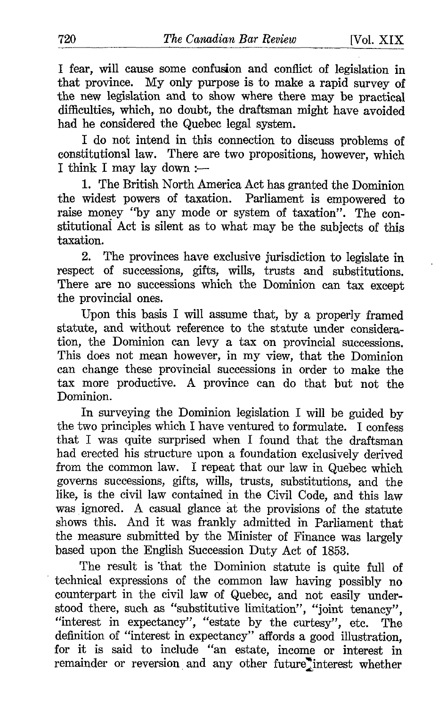I fear, will cause some confusion and conflict of legislation in that province. My only purpose is to make a rapid survey of the new legislation and to show where there may be practical difficulties, which, no doubt, the draftsman might have avoided had he considered the Quebec legal system.

I do not intend in this connection to discuss problems of constitutional law. There are two propositions, however, which I think I may lay down :-

1. The British North America Act has granted the Dominion the widest powers of taxation. Parliament is empowered to raise money "by any mode or system of taxation". The con stitutional Act is silent as to what- may be the subjects of this taxation.

2. The provinces have exclusive jurisdiction to legislate in respect of successions, gifts, wills, trusts and substitutions. There are no successions which the Dominion can tax except the provincial ones.

Upon this basis <sup>I</sup> will assume that, by a properly framed statute, and without reference to the statute under consideration, the Dominion can levy a tax on provincial successions. This does not mean however, in my view, that the Dominion can change these provincial successions in order to make the tax more productive. A province can do that but not the Dominion.

In surveying the Dominion legislation <sup>I</sup> will be guided by the two principles which I have ventured to formulate. I confess that <sup>I</sup> was quite surprised when <sup>I</sup> found that the draftsman had erected his structure upon a foundation exclusively derived from the common law. <sup>I</sup> repeat that our law in Quebec which governs successions, gifts, wills, trusts, substitutions, and the like, is the civil law contained in the Civil Code, and this law was ignored. A casual glance at the provisions of the statute shows this . And it was frankly admitted in Parliament that the measure submitted by the Minister of Finance was largely based upon the English Succession Duty Act of 1853.

The result is 'that the Dominion statute is quite full of technical expressions of the common law having possibly no counterpart in the civil law of Quebec, and not easily under stood there, such as "substitutive limitation", "joint tenancy", "interest in expectancy", "estate by the curtesy", etc. The definition of "interest in expectancy" affords a good illustration, for it is said to include "an estate, income or interest in remainder or reversion and any other future interest whether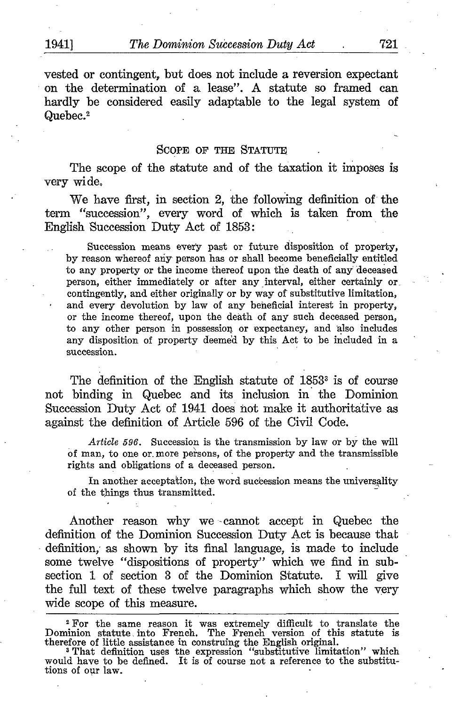vested or contingent, but does not include a reversion expectant on the determination of a lease". A statute so framed can hardly be considered easily adaptable to the legal system of Quebec.<sup>2</sup>

#### SCOPE OF THE STATUTE

The scope of the statute and of the taxation it imposes is very wide,

We have first, in section 2, the following definition of the term "succession", every word of which is taken from the English Succession Duty Act of 1853 ;

Succession means every past or future disposition of property, by reason whereof any person has or shall become beneficially entitled to any property or the income thereof upon the death of any deceased person, either immediately or after any interval, either certainly or contingently, and either originally or by way of substitutive limitation, and every devolution by law of any beneficial interest in property, or the income thereof, upon the death of any such deceased person, to any other person in possession or expectancy, and also includes any disposition of property deemed by this Act to be included in a succession.

The definition of the English statute of  $1853<sup>3</sup>$  is of course not binding in Quebec and its inclusion in the Dominion Succession Duty Act of 1941 does not make it authoritative as against the definition of Article 596 of the Civil Code.

Article 596. Succession is the transmission by law or by the will of man, to one or.more persons, of the property and the transmissible rights and obligations of a deceased person.

In another acceptation, the word succession means the universality of the things thus transmitted .

Another reason why we -cannot accept in Quebec the definition of the Dominion Succession Duty Act is because that definition; as shown by its final language, is made to include some twelve "dispositions of property" which we find in subsection 1 of section 3 of the Dominion Statute. I will give the full text of these twelve paragraphs which show the very wide scope of this measure.

<sup>2</sup> For the same reason it was extremely difficult to translate the Dominion statute into French. The French version of this statute is<br>therefore of little assistance in construing the English original.<br>That definition uses the expression "substitutive limitation" which

would have to be defined. It is of course not a reference to the substitutions of our law.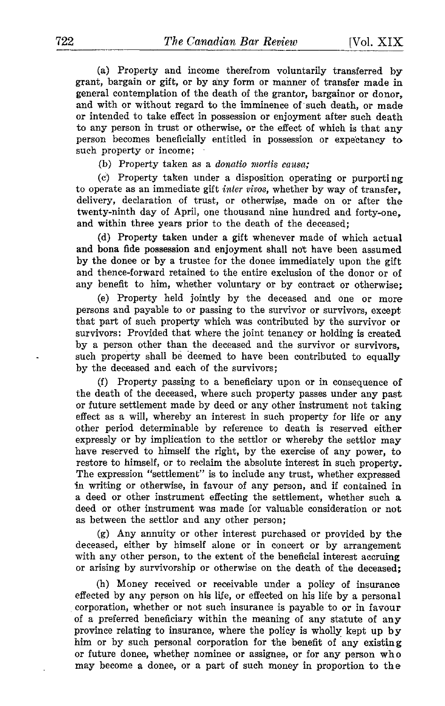(a) Property and income therefrom voluntarily transferred by grant, bargain or gift, or by any form or manner of transfer made in general contemplation of the death of the grantor, bargainor or donor, and with or without regard to the imminence of such death, or made or intended to take effect in possession or enjoyment after such death to any person in trust or otherwise, or the effect of which is that any person becomes beneficially entitled in possession or expectancy to such property or income;

(b) Property taken as a *donatio mortis causa*;

(c) Property taken under a disposition operating or purporting to operate as an immediate gift inter vivos, whether by way of transfer, delivery, declaration of trust, or otherwise, made on or after the twenty-ninth day of April, one thousand nine hundred and forty-one, and within three years prior to the death of the deceased;

(d) Property taken under a gift whenever made of which actual and bona fide possession and enjoyment shall not have been assumed by the donee or by <sup>a</sup> trustee for the donee immediately upon the gift and thence-forward retained to the entire exclusion of the donor or of any benefit to him, whether voluntary or by contract or otherwise:

(e) Property held jointly by the deceased and one or more persons and payable to or passing to the survivor or survivors, except that part of such property which was contributed by the survivor or survivors: Provided that where the joint tenancy or holding is created by a person other than. the deceased and the survivor or survivors, such property shall be deemed to have been contributed to equally by the deceased and each of the survivors;

(f) Property passing to a beneficiary upon or in consequence of the death of the deceased, where such property passes under any past or future settlement made by deed or any other instrument not taking effect as a will, whereby an interest in such property for life or any other period determinable by reference to death is reserved either expressly or by implication to the settlor or whereby the settlor may have reserved to himself the right, by the exercise of any power, to restore to himself, or to reclaim the absolute interest in such property. The expression "settlement" is to include any trust, whether expressed in writing or otherwise, in favour of any person, and if contained in a deed or other instrument effecting the settlement, whether such a deed or other instrument was made for valuable consideration or not as between the settlor and any other person;

(g) Any annuity or other interest purchased or provided by the deceased, either by himself alone or in concert or by arrangement with any other person, to the extent of the beneficial interest accruing or arising by survivorship or otherwise on the death of the deceased ;

(h) Money received or receivable under a policy of insurance effected by any person on his life, or effected on his life by a personal corporation, whether or not such insurance is payable to or in favour of a preferred beneficiary within the meaning of any statute of any province relating to insurance, where the policy is wholly kept up by him or by such personal corporation for the benefit of any existing or future donee, whether nominee or assignee, or for any person who may become <sup>a</sup> donee, or <sup>a</sup> part of such money in proportion to the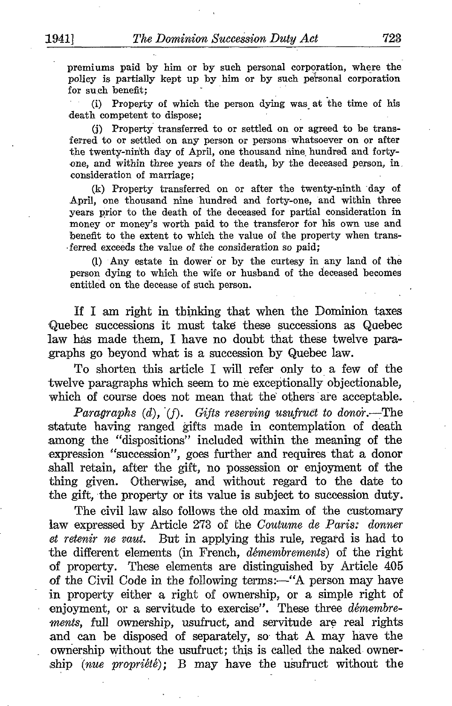premiums paid by him or by such personal corporation, where the policy is partially kept up by him or by such personal corporation for such benefit:

(i) Property of which the person dying was at the time of his death competent to dispose:

(j) Property transferred to or settled on or agreed to be transferred to or settled on any person or persons whatsoever on or after the twenty-ninth day of April, one thousand nine, hundred and forty one, and within three years of the death, by the deceased person, in . consideration of marriage ;

(k) Property transferred on or after the twenty-ninth day of April, one thousand nine hundred and forty-one, and within three years prior to the death of the deceased for partial consideration in money or money's worth paid to the transferor for his own use and benefit to the extent to which the value of the property when trans- -ferred exceeds the value of the consideration so paid;

(1) Any estate in dower or by the curtesy in any land of the person dying to which the wife or husband of the deceased becomes entitled on the decease of such person.

If <sup>I</sup> am right in thinking that when the Dominion taxes Quebec successions it must take these successions as Quebec law has made them, <sup>I</sup> have no doubt that these twelve paragraphs go beyond what is a succession by Quebec law.

To shorten this article <sup>I</sup> will refer only to a few of the twelve paragraphs which seem to me exceptionally objectionable, which of course does not mean that thè others are acceptable.

Paragraphs  $(d)$ ,  $(f)$ . Gifts reserving usufruct to donor.—The statute having ranged gifts made in contemplation of death among the "dispositions" included within the meaning of the expression "succession", goes further and requires that a donor shall retain, after the gift, no possession or enjoyment of the thing given. Otherwise, and without regard to the date to the gift, the property or its value is subject to succession duty.

The civil law also follows the old maxim of the customary law expressed by Article 273 of the Coutume de Paris: donner et retenir ne vaut. But in applying this rule, regard is had to the different elements (in French, démembrements) of the right of property. These elements are distinguished by Article 405 of the Civil Code in the following terms:—"A person may have in property either a right of ownership, or a simple right of enjoyment, or a servitude to exercise". These three *démembre*ments, full ownership, usufruct, and servitude are real rights and can be disposed of separately, so- that A may have the ownership without the usufruct; this is called the naked ownership (*nue proprieté*); B may have the usufruct without the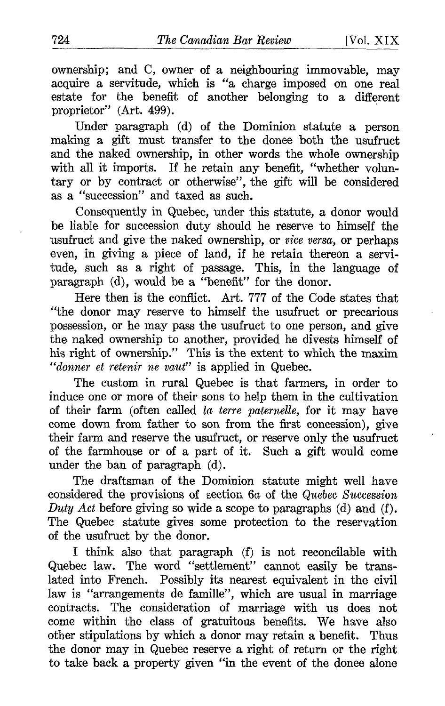ownership; and C, owner of a neighbouring immovable, may acquire a servitude, which is "a charge imposed on one real estate for the benefit of another belonging to a different proprietor" (Art. 499).

Under paragraph (d) of the Dominion statute a person making a gift must transfer to the donee both the usufruct and the naked ownership, in other words the whole ownership with all it imports. If he retain any benefit, "whether voluntary or by contract or otherwise", the gift will be considered as a "succession" and taxed as such.

Consequently in Quebec, under this statute, a donor would be liable for succession duty should he reserve to himself the usufruct and give the naked ownership, or vice versa, or perhaps even, in giving a piece of land, if he retain thereon a servitude, such as a right of passage. This, in the language of paragraph (d), would be a "benefit" for the donor.

Here then is the conflict. Art. 777 of the Code states that "the donor may reserve to himself the usufruct or precarious possession, or he may pass the usufruct to one person, and give the naked ownership to another, provided he divests himself of his right of ownership." This is the extent to which the maxim "donner et retenir ne vaut" is applied in Quebec.

The custom in rural Quebec is that farmers, in order to induce one or more of their sons to help them in the cultivation of their farm (often called la terre paternelle, for it may have come down from father to son from the first concession), give their farm and reserve the usufruct, or reserve only the usufruct of the farmhouse or of a part of it . Such a gift would come under the ban of paragraph (d).

The draftsman of the Dominion statute might well have considered the provisions of section 6a of the Quebec Succession Duty Act before giving so wide a scope to paragraphs  $(d)$  and  $(f)$ . The Quebec statute gives some protection to the reservation of the usufruct by the donor.

<sup>I</sup> think also that paragraph (f) is not reconcilable with Quebec law. The word "settlement" cannot easily be translated into French. Possibly its nearest equivalent in the civil law is "arrangements de famille", which are usual in marriage contracts. The consideration of marriage with us does not come within the class of gratuitous benefits. We have also otber stipulations by which a donor may retain a benefit. Thus the donor may in Quebec reserve a right of return or the right to take back a property given "in the event of the donee alone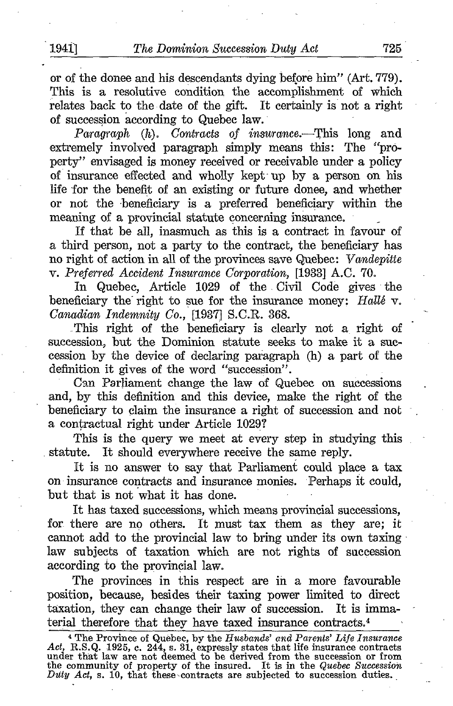or of the donee and his descendants dying before him" (Art. 779) . This is a resolutive condition the accomplishment of which relates back to the date of the gift. It certainly is not a right of succession according to Quebec law.

Paragraph  $(h)$ . Contracts of insurance.—This long and extremely involved paragraph simply means this: The "property" envisaged is money received or receivable under a policy of insurance effected and wholly kept- up by a person on his life for the benefit of an existing or future donee, and whether or not the beneficiary is a preferred beneficiary within the meaning of a provincial statute concerning insurance.

If that be all, inasmuch as this is a contract in favour of a third person, not a party to the contract, the beneficiary has no right of action in all of the provinces save Quebec: Vandepitte v. Preferred Accident Insurance Corporation, [1933] A.C. 70.

In Quebec, Article 1029 of the Civil Code gives the beneficiary the right to sue for the insurance money: Hallé  $v$ . Canadian Indemnity Co., [1937] S.C.R. 368.

\_This right of the beneficiary is clearly not a right of succession, but the Dominion statute seeks to make it a succession by the device of declaring paragraph (h) a part of the definition it gives of the word "succession".

Can Parliament change the law of Quebec on successions and, by this definition and this device, make the right of the beneficiary to claim the insurance a right of succession and not a contractual right under Article 1029?

This is the query we meet at every step in studying this statute. It should everywhere receive the same reply.

It is no answer to say that Parliament could place a tax on insurance contracts and insurance monies. Perhaps it could, but that is not what it has done.

It has taxed successions, which means provincial successions, for there are no others. It must tax them as they are; it cannot add to the provincial law to bring under its own taxing law subjects of taxation which are not rights of succession according to the provincial law.

The provinces in this respect are in a more favourable position, because, besides their taxing power limited to direct taxation, they can change their law of succession. It is immaterial therefore that they have taxed insurance contracts. <sup>4</sup>

<sup>&</sup>lt;sup>4</sup> The Province of Quebec, by the Husbands' and Parents' Life Insurance<br>Act, R.S.Q. 1925, c. 244, s. 31, expressly states that life insurance contracts<br>under that law are not deemed to be derived from the succession or fr the community of property of the insured. It is in the Quebec Succession  $Duty$  Act, s. 10, that these contracts are subjected to succession duties.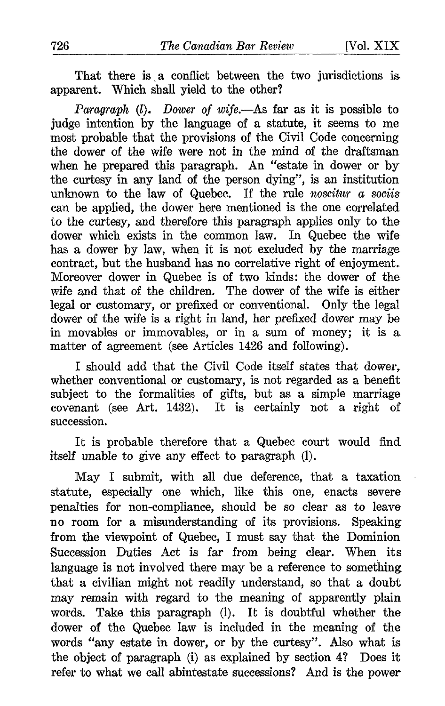That there is a conflict between the two jurisdictions is. apparent. Which shall yield to the other?

Paragraph  $(l)$ . Dower of wife. As far as it is possible to judge intention by the language of a statute, it seems to me most probable that the provisions of the Civil Code concerning the dower of the wife were not in the mind of the draftsman when he prepared this paragraph. An "estate in dower or by the curtesy in any land of the person dying", is an institution unknown to the law of Quebec. If the rule noscitur  $a$  sociis can be applied, the dower here mentioned is the one correlated to the curtesy, and therefore this paragraph applies only to the dower which exists in the common law. In Quebec the wife has a dower by law, when it is not excluded by the marriage contract, but the husband has no correlative right of enjoyment. Moreover dower in Quebec is of two kinds: the dower of the wife and that of the children. The dower of the wife is either legal or customary, or prefixed or conventional. Only the legal dower of the wife is a right in land, her prefixed dower may be in movables or immovables, or in a sum of money; it is a. matter of agreement (see Articles 1426 and following) .

I should add that the Civil Code itself states that dower, whether conventional or customary, is not regarded as a benefit subject to the formalities of gifts, but as a simple marriage covenant (see Art. 1432). It is certainly not a right of succession .

It is probable therefore that a Quebec court would find itself unable to give any effect to paragraph (1).

May <sup>I</sup> submit, with all due deference, that a taxation statute, especially one which, like this one, enacts severe penalties for non-compliance, should be so clear as to leave no room for a misunderstanding of its provisions . Speaking from the viewpoint of Quebec, I must say that the Dominion Succession Duties Act is far from being clear. When its. language is not involved there may be a reference to something that a civilian might not readily understand, so that a doubt may remain with regard to the meaning of apparently plain words. Take this paragraph (1). It is doubtful whether the dower of the Quebec law is included in the meaning of the words "any estate in dower, or by the curtesy". Also what is the object of paragraph (i) as explained by section 4? Does it refer to what we call abintestate successions? And is the power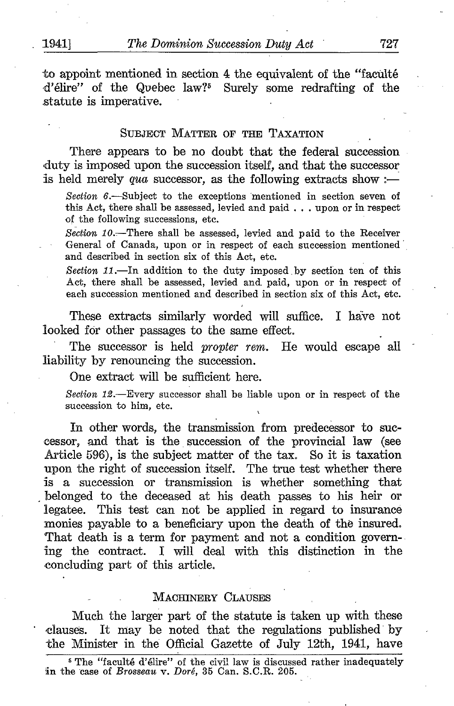'

to appoint mentioned in section 4 the equivalent of the "faculté d'élire" of the Quebec law?' Surely some redrafting of the .statute is imperative.

#### SUBJECT MATTER OF THE TAXATION

There appears to be no doubt that the federal succession duty is imposed upon the succession itself, and that the successor is held merely qua successor, as the following extracts show :-

Section 6.—Subject to the exceptions mentioned in section seven of this Act, there shall be assessed, levied and paid . . . upon or in respect of the following successions, etc .

Section  $10$ .-There shall be assessed, levied and paid to the Receiver General of Canada, upon or in respect of each succession mentioned and described in section six of this Act, etc.

Section  $11$ .-In addition to the duty imposed by section ten of this Act, there shall be assessed, levied and, paid, upon or in respect of each succession mentioned and described in section six of this Act, etc.

These extracts similarly worded will suffice. I have not looked for other passages to the same effect.

The successor is held propter rem. He would escape all liability by renouncing the succession.

One extract will be sufficient here.

Section  $12$ .-Every successor shall be liable upon or in respect of the succession to him, etc.

In other words, the transmission from predecessor to successor, and that is the succession of the provincial law (see Article 596), is the subject matter of the tax. So it is taxation upon the right of succession itself. The true test whether there is a succession or transmission is whether something that belonged to the deceased at his death passes to his heir or legatee. This test can not be applied in regard to insurance monies payable to a beneficiary upon the death of the insured. That death is a term for payment and not a condition governing the contract. I will deal with this distinction in the concluding part of this article.

#### MACHINERY CLAUSES

Much the larger part of the statute is taken up with these clauses. It may be noted that the regulations published by the Minister in the Official Gazette of July 12th, 1941, have

<sup>s</sup> The "faculté d'élire" of the civil law is discussed rather inadequately in the case of Brosseau v. Doré, 35 Can. S.C.R. 205.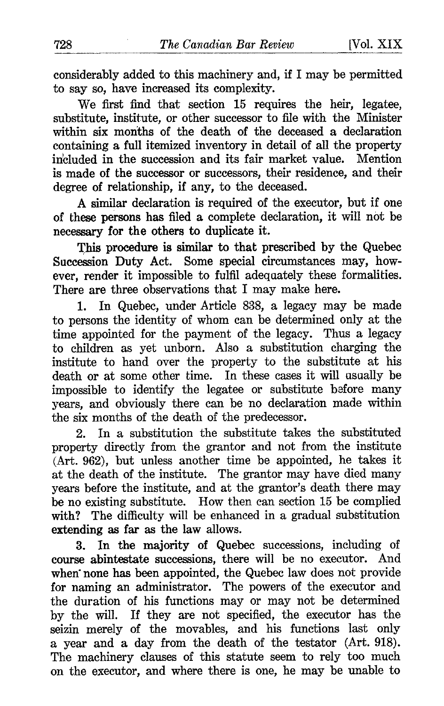considerably added to this machinery and, if <sup>I</sup> may be permitted to say so, have increased its complexity.

We first find that section 15 requires the heir, legatee, substitute, institute, or other successor to file with the Minister within six months of the death of the deceased a declaration containing a full itemized inventory in detail of all the property included in the succession and its fair market value. Mention is made of the successor or successors, their residence, and their degree of relationship, if any, to the deceased.

A similar declaration is required of the executor, but if one of these persons has filed a complete declaration, it will not be necessary for the others to duplicate it.

This procedure is similar to that prescribed by the Quebec Succession Duty Act. Some special circumstances may, however, render it impossible to fulfil adequately these formalities. There are three observations that <sup>I</sup> may make here.

1. In Quebec, under Article 838, a legacy may be made to persons the identity of whom can be determined only at the time appointed for the payment of the legacy. Thus a legacy to children as yet unborn . Also a substitution charging the institute to hand over the property to the substitute at his death or at some other time. In these cases it will usually be impossible to identify the legatee or substitute before many years, and obviously there can be no declaration made within the six months of the death of the predecessor.

2. In a substitution the substitute takes the substituted property directly from the grantor and not from the institute (Art. 962), but unless another time be appointed, he takes it at the death of the institute. The grantor may have died many years before the institute, and at the grantor's death there may be no existing substitute. How then can section <sup>15</sup> be complied with? The difficulty will be enhanced in a gradual substitution extending as far as the law allows .

3. In the majority of Quebec successions, including of course abintestate successions, there will be no executor. And when none has been appointed, the Quebec law does not provide for naming an administrator. The powers of the executor and the duration of his functions may or may not be determined by the will. If they are not specified, the executor has the seizin merely of the movables, and his functions last only a year and a day from the death of the testator (Art. 918). The machinery clauses of this statute seem to rely too much on the executor, and where there is one, he may be unable to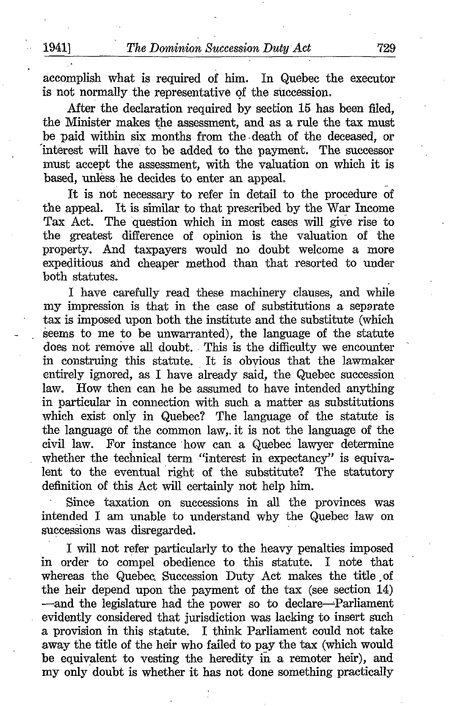accomplish what is required of him. In Quebec the executor is not normally the representative of the succession.

After the declaration required by section 15 has been filed, the Minister makes the assessment, and as a rule the tax must be paid within six months from the death of the deceased, or interest will have to be added to the payment. The successor must accept the assessment, with the valuation on which it is based, unless he decides to enter an appeal.

It is not necessary to refer in detail to the procedure of the appeal. It is similar to that prescribed by the War Income Tax Act. The question which in most cases will give rise to the greatest difference of opinion is the valuation of the property. And taxpayers would no doubt welcome a more expeditious and cheaper method than that resorted to under both statutes.

I have carefully read these machinery clauses, and while my impression is that in the case of substitutions <sup>a</sup> separate tax is imposed upon both the institute and the substitute (which seems to me to be unwarranted), the language of the statute does not remove all doubt. This is the difficulty we encounter in construing this statute. It is obvious that the lawmaker entirely ignored, as I have already said, the Quebec succession<br>law. How then can be be assumed to have intended anything How then can he be assumed to have intended anything in particular in connection with such a matter as substitutions which exist only in Quebec? The language of the statute is the language of the common law,. it is not the language of the civil law. For instance how can a Quebec lawyer determine whether the technical term "interest in expectancy" is equivalent to the eventual right of the substitute? The statutory definition of this Act will certainly not help him.

Since taxation on successions in all the provinces was intended <sup>I</sup> am unable to understand why the Quebec law on successions was disregarded.

I will not refer particularly to the heavy penalties imposed in order to compel obedience to this statute. I note that whereas the Quebec. Succession Duty Act makes the title . of the heir depend upon the payment of the tax (see section 14) -and the legislature had the power so to declare-Parliament evidently considered that jurisdiction was lacking to insert such a provision in this statute. I think Parliament could not take away the title of the heir who failed to pay the tax (which would be equivalent to vesting the heredity in a remoter heir), and my only doubt is whether it has not done something practically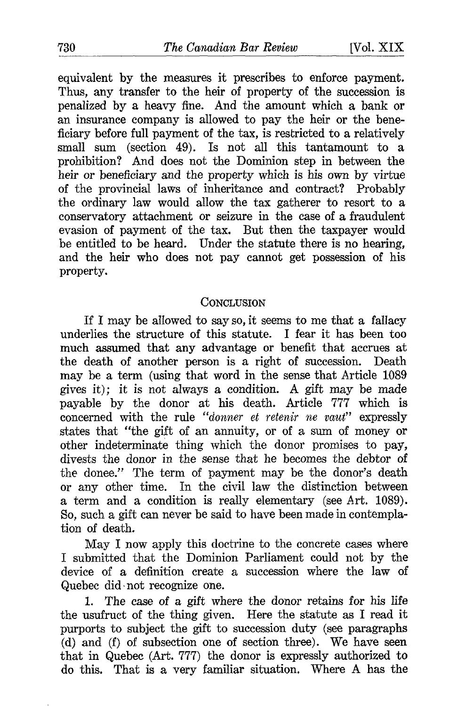equivalent by the measures it prescribes to enforce payment. Thus, any transfer to the heir of property of the succession is penalized by a heavy fine. And the amount which a bank or an insurance company is allowed to pay the heir or the beneficiary before full payment of the tax, is restricted to a relatively small sum (section 49). Is not all this tantamount to a prohibition? And does not the Dominion step in between the heir or beneficiary and the property which is his own by virtue of the provincial laws of inheritance and contract? Probably the ordinary law would allow the tax gatherer to resort to a conservatory attachment or seizure in the case of a fraudulent evasion of payment of the tax. But then the taxpayer would be entitled to be heard. Under the statute there is no hearing, and the heir who does not pay cannot get possession of his property.

### **CONCLUSION**

If <sup>I</sup> may be allowed to say so, it seems to me that a fallacy underlies the structure of this statute. I fear it has been too much assumed that any advantage or benefit that accrues at the death of another person is a right of succession. Death may be a term (using that word in the sense that Article 1089 gives it); it is not always a condition. A gift may be made payable by the donor at his death. Article 777 which is concerned with the rule "donner et retenir ne vaut" expressly states that "the gift of an annuity, or of a sum of money or other indeterminate thing which the donor promises to pay, divests the donor in the sense that he becomes the debtor of the donee." The term of payment may be the donor's death or any other time. In the civil law the distinction between a term and a condition is really elementary (see Art. 1089) . So, such a gift can never be said to have been made in contemplation of death.

May <sup>I</sup> now apply this doctrine to the concrete cases where I submitted that the Dominion Parliament could not by the device of a definition create a succession where the law of Quebec did-not recognize one.

1. The case of a gift where the donor retains for his life the usufruct of the thing given. Here the statute as I read it purports to subject the gift to succession duty (see paragraphs  $(d)$  and  $(f)$  of subsection one of section three). We have seen that in Quebec (Art. 777) the donor is expressly authorized to do this. That is <sup>a</sup> very familiar situation. Where A has the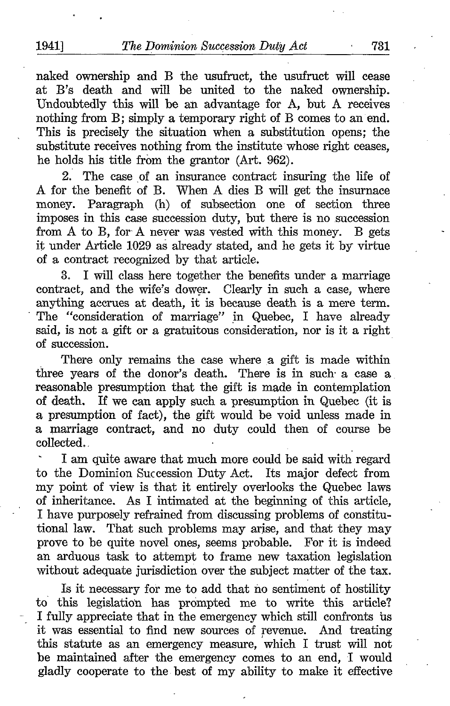naked ownership and B the usufruct, the usufruct will cease at B's death and will be united to the naked ownership. Undoubtedly this will be an advantage for A, but A receives nothing from B; simply <sup>a</sup> temporary right of B comes to an end. This is precisely the situation when a substitution opens; the substitute receives nothing from the institute whose right ceases, he holds his title from the grantor (Art. 962) .

2. The case of an insurance contract insuring the life of A for the benefit of B. When A dies B will get the insurnace money. Paragraph (h) of subsection one of section three imposes in this case succession duty, but there is no succession from A to B, for A never was vested with this money. B gets it under Article 1029 as already stated, and he gets it by virtue of a contract recognized by that article .

3. I will class here together the benefits under a marriage contract, and the wife's dower. Clearly in such a case, where anything accrues at death, it is because death is a mere term. The "consideration of marriage" in Quebec, <sup>I</sup> have already said, is not a gift or a gratuitous consideration, nor is it a right of succession.

There only remains the case where a gift is made within three years of the donor's death. There is in such a case a reasonable presumption that the gift is made in contemplation of death. If we can apply such a presumption in Quebec (it is If we can apply such a presumption in Quebec (it is a presumption of fact), the gift would be void unless made in a marriage contract, and no duty could then of course be collected . .

<sup>I</sup> am quite aware that much more could be said with regard to the Dominion Succession Duty Act. Its major defect from my point of view is that it entirely overlooks the Quebec laws of inheritance. As I intimated at the beginning of this article, <sup>I</sup> have purposely refrained from discussing problems of constitutional law. That such problems may arise, and that they may prove to be quite novel ones, seems probable. For it is indeed an arduous task to attempt to frame new taxation legislation without adequate jurisdiction over the subject matter of the tax.

Is it necessary for me to add that no sentiment of hostility to this legislation has prompted me to write this article? I fully appreciate that in the emergency which still confronts ûs it was essential to find new sources of revenue . And treating this statute as an emergency measure, which <sup>I</sup> trust will not be maintained after the emergency comes to an end, I would gladly cooperate to the . best of my ability to make it effective